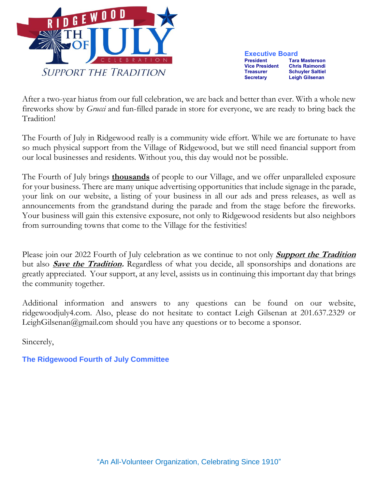

**Executive Board**<br>**President** Tara **Tara Masterson Vice President Chris Raimondi Schuyler Saltiel Secretary Leigh Gilsenan**

After a two-year hiatus from our full celebration, we are back and better than ever. With a whole new fireworks show by *Grucci* and fun-filled parade in store for everyone, we are ready to bring back the Tradition!

The Fourth of July in Ridgewood really is a community wide effort. While we are fortunate to have so much physical support from the Village of Ridgewood, but we still need financial support from our local businesses and residents. Without you, this day would not be possible.

The Fourth of July brings **thousands** of people to our Village, and we offer unparalleled exposure for your business. There are many unique advertising opportunities that include signage in the parade, your link on our website, a listing of your business in all our ads and press releases, as well as announcements from the grandstand during the parade and from the stage before the fireworks. Your business will gain this extensive exposure, not only to Ridgewood residents but also neighbors from surrounding towns that come to the Village for the festivities!

Please join our 2022 Fourth of July celebration as we continue to not only **Support the Tradition** but also **Save the Tradition.** Regardless of what you decide, all sponsorships and donations are greatly appreciated. Your support, at any level, assists us in continuing this important day that brings the community together.

Additional information and answers to any questions can be found on our website, ridgewoodjuly4.com. Also, please do not hesitate to contact Leigh Gilsenan at 201.637.2329 or LeighGilsenan@gmail.com should you have any questions or to become a sponsor.

Sincerely,

**The Ridgewood Fourth of July Committee**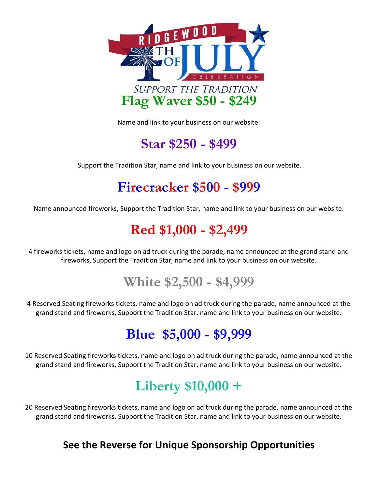

Name and link to your business on our website.

## **Star \$250 - \$499**

Support the Tradition Star, name and link to your business on our website.

### **Firecracker \$500 - \$999**

Name announced fireworks, Support the Tradition Star, name and link to your business on our website.

## **Red \$1,000 - \$2,499**

4 fireworks tickets, name and logo on ad truck during the parade, name announced at the grand stand and fireworks, Support the Tradition Star, name and link to your business on our website.

**White \$2,500 - \$4,999**

4 Reserved Seating fireworks tickets, name and logo on ad truck during the parade, name announced at the grand stand and fireworks, Support the Tradition Star, name and link to your business on our website.

### **Blue \$5,000 - \$9,999**

10 Reserved Seating fireworks tickets, name and logo on ad truck during the parade, name announced at the grand stand and fireworks, Support the Tradition Star, name and link to your business on our website.

# **Liberty \$10,000 +**

20 Reserved Seating fireworks tickets, name and logo on ad truck during the parade, name announced at the grand stand and fireworks, Support the Tradition Star, name and link to your business on our website.

#### **See the Reverse for Unique Sponsorship Opportunities**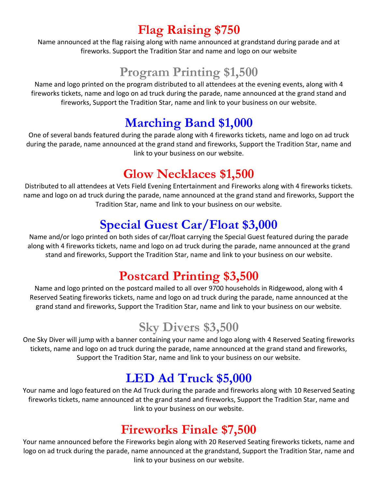#### **Flag Raising \$750**

Name announced at the flag raising along with name announced at grandstand during parade and at fireworks. Support the Tradition Star and name and logo on our website

### **Program Printing \$1,500**

Name and logo printed on the program distributed to all attendees at the evening events, along with 4 fireworks tickets, name and logo on ad truck during the parade, name announced at the grand stand and fireworks, Support the Tradition Star, name and link to your business on our website.

#### **Marching Band \$1,000**

One of several bands featured during the parade along with 4 fireworks tickets, name and logo on ad truck during the parade, name announced at the grand stand and fireworks, Support the Tradition Star, name and link to your business on our website.

#### **Glow Necklaces \$1,500**

Distributed to all attendees at Vets Field Evening Entertainment and Fireworks along with 4 fireworks tickets. name and logo on ad truck during the parade, name announced at the grand stand and fireworks, Support the Tradition Star, name and link to your business on our website.

#### **Special Guest Car/Float \$3,000**

Name and/or logo printed on both sides of car/float carrying the Special Guest featured during the parade along with 4 fireworks tickets, name and logo on ad truck during the parade, name announced at the grand stand and fireworks, Support the Tradition Star, name and link to your business on our website.

#### **Postcard Printing \$3,500**

Name and logo printed on the postcard mailed to all over 9700 households in Ridgewood, along with 4 Reserved Seating fireworks tickets, name and logo on ad truck during the parade, name announced at the grand stand and fireworks, Support the Tradition Star, name and link to your business on our website.

#### **Sky Divers \$3,500**

One Sky Diver will jump with a banner containing your name and logo along with 4 Reserved Seating fireworks tickets, name and logo on ad truck during the parade, name announced at the grand stand and fireworks, Support the Tradition Star, name and link to your business on our website.

#### **LED Ad Truck \$5,000**

Your name and logo featured on the Ad Truck during the parade and fireworks along with 10 Reserved Seating fireworks tickets, name announced at the grand stand and fireworks, Support the Tradition Star, name and link to your business on our website.

#### **Fireworks Finale \$7,500**

Your name announced before the Fireworks begin along with 20 Reserved Seating fireworks tickets, name and logo on ad truck during the parade, name announced at the grandstand, Support the Tradition Star, name and link to your business on our website.